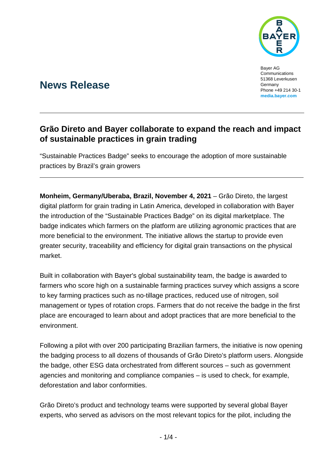

Bayer AG Communications 51368 Leverkusen Germany Phone +49 214 30-1 **[media.bayer.com](http://media.bayer.com/)**

# **News Release**

## **Grão Direto and Bayer collaborate to expand the reach and impact of sustainable practices in grain trading**

"Sustainable Practices Badge" seeks to encourage the adoption of more sustainable practices by Brazil's grain growers

**Monheim, Germany/Uberaba, Brazil, November 4, 2021** – Grão Direto, the largest digital platform for grain trading in Latin America, developed in collaboration with Bayer the introduction of the "Sustainable Practices Badge" on its digital marketplace. The badge indicates which farmers on the platform are utilizing agronomic practices that are more beneficial to the environment. The initiative allows the startup to provide even greater security, traceability and efficiency for digital grain transactions on the physical market.

Built in collaboration with Bayer's global sustainability team, the badge is awarded to farmers who score high on a sustainable farming practices survey which assigns a score to key farming practices such as no-tillage practices, reduced use of nitrogen, soil management or types of rotation crops. Farmers that do not receive the badge in the first place are encouraged to learn about and adopt practices that are more beneficial to the environment.

Following a pilot with over 200 participating Brazilian farmers, the initiative is now opening the badging process to all dozens of thousands of Grão Direto's platform users. Alongside the badge, other ESG data orchestrated from different sources – such as government agencies and monitoring and compliance companies – is used to check, for example, deforestation and labor conformities.

Grão Direto's product and technology teams were supported by several global Bayer experts, who served as advisors on the most relevant topics for the pilot, including the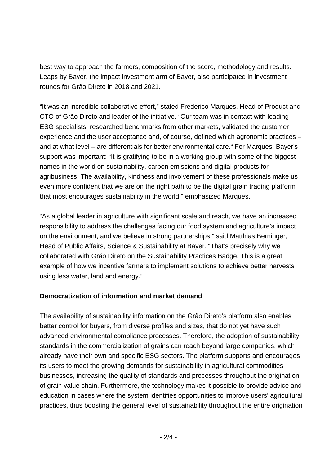best way to approach the farmers, composition of the score, methodology and results. Leaps by Bayer, the impact investment arm of Bayer, also participated in investment rounds for Grão Direto in 2018 and 2021.

"It was an incredible collaborative effort," stated Frederico Marques, Head of Product and CTO of Grão Direto and leader of the initiative. "Our team was in contact with leading ESG specialists, researched benchmarks from other markets, validated the customer experience and the user acceptance and, of course, defined which agronomic practices – and at what level – are differentials for better environmental care." For Marques, Bayer's support was important: "It is gratifying to be in a working group with some of the biggest names in the world on sustainability, carbon emissions and digital products for agribusiness. The availability, kindness and involvement of these professionals make us even more confident that we are on the right path to be the digital grain trading platform that most encourages sustainability in the world," emphasized Marques.

"As a global leader in agriculture with significant scale and reach, we have an increased responsibility to address the challenges facing our food system and agriculture's impact on the environment, and we believe in strong partnerships," said Matthias Berninger, Head of Public Affairs, Science & Sustainability at Bayer. "That's precisely why we collaborated with Grão Direto on the Sustainability Practices Badge. This is a great example of how we incentive farmers to implement solutions to achieve better harvests using less water, land and energy."

### **Democratization of information and market demand**

The availability of sustainability information on the Grão Direto's platform also enables better control for buyers, from diverse profiles and sizes, that do not yet have such advanced environmental compliance processes. Therefore, the adoption of sustainability standards in the commercialization of grains can reach beyond large companies, which already have their own and specific ESG sectors. The platform supports and encourages its users to meet the growing demands for sustainability in agricultural commodities businesses, increasing the quality of standards and processes throughout the origination of grain value chain. Furthermore, the technology makes it possible to provide advice and education in cases where the system identifies opportunities to improve users' agricultural practices, thus boosting the general level of sustainability throughout the entire origination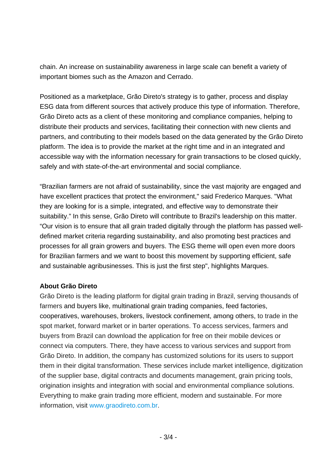chain. An increase on sustainability awareness in large scale can benefit a variety of important biomes such as the Amazon and Cerrado.

Positioned as a marketplace, Grão Direto's strategy is to gather, process and display ESG data from different sources that actively produce this type of information. Therefore, Grão Direto acts as a client of these monitoring and compliance companies, helping to distribute their products and services, facilitating their connection with new clients and partners, and contributing to their models based on the data generated by the Grão Direto platform. The idea is to provide the market at the right time and in an integrated and accessible way with the information necessary for grain transactions to be closed quickly, safely and with state-of-the-art environmental and social compliance.

"Brazilian farmers are not afraid of sustainability, since the vast majority are engaged and have excellent practices that protect the environment," said Frederico Marques. "What they are looking for is a simple, integrated, and effective way to demonstrate their suitability." In this sense, Grão Direto will contribute to Brazil's leadership on this matter. "Our vision is to ensure that all grain traded digitally through the platform has passed welldefined market criteria regarding sustainability, and also promoting best practices and processes for all grain growers and buyers. The ESG theme will open even more doors for Brazilian farmers and we want to boost this movement by supporting efficient, safe and sustainable agribusinesses. This is just the first step", highlights Marques.

#### **About Grão Direto**

Grão Direto is the leading platform for digital grain trading in Brazil, serving thousands of farmers and buyers like, multinational grain trading companies, feed factories, cooperatives, warehouses, brokers, livestock confinement, among others, to trade in the spot market, forward market or in barter operations. To access services, farmers and buyers from Brazil can download the application for free on their mobile devices or connect via computers. There, they have access to various services and support from Grão Direto. In addition, the company has customized solutions for its users to support them in their digital transformation. These services include market intelligence, digitization of the supplier base, digital contracts and documents management, grain pricing tools, origination insights and integration with social and environmental compliance solutions. Everything to make grain trading more efficient, modern and sustainable. For more information, visit [www.graodireto.com.br.](http://www.graodireto.com.br/)